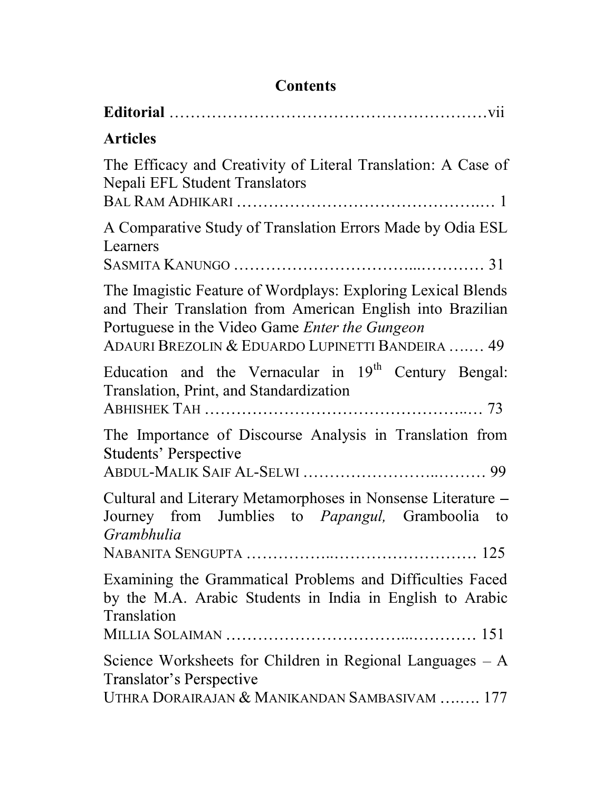| <b>Articles</b>                                                                                                                                                                                                                         |
|-----------------------------------------------------------------------------------------------------------------------------------------------------------------------------------------------------------------------------------------|
| The Efficacy and Creativity of Literal Translation: A Case of<br>Nepali EFL Student Translators                                                                                                                                         |
| A Comparative Study of Translation Errors Made by Odia ESL<br>Learners                                                                                                                                                                  |
| The Imagistic Feature of Wordplays: Exploring Lexical Blends<br>and Their Translation from American English into Brazilian<br>Portuguese in the Video Game <i>Enter the Gungeon</i><br>ADAURI BREZOLIN & EDUARDO LUPINETTI BANDEIRA  49 |
| Education and the Vernacular in $19th$ Century Bengal:<br>Translation, Print, and Standardization                                                                                                                                       |
| The Importance of Discourse Analysis in Translation from<br><b>Students' Perspective</b>                                                                                                                                                |
| Cultural and Literary Metamorphoses in Nonsense Literature -<br>Journey from Jumblies to Papangul, Gramboolia to<br>Grambhulia                                                                                                          |
| Examining the Grammatical Problems and Difficulties Faced<br>by the M.A. Arabic Students in India in English to Arabic<br>Translation                                                                                                   |
| Science Worksheets for Children in Regional Languages $-A$<br>Translator's Perspective<br>UTHRA DORAIRAJAN & MANIKANDAN SAMBASIVAM  177                                                                                                 |

## **Contents**